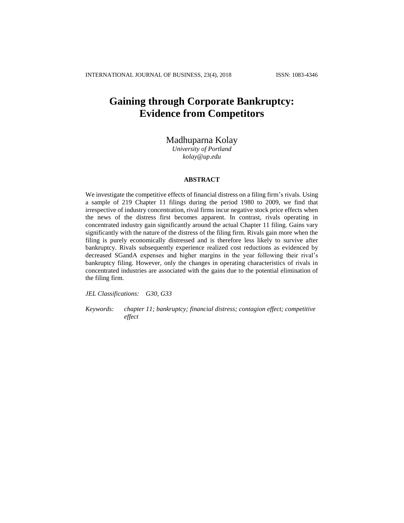# **Gaining through Corporate Bankruptcy: Evidence from Competitors**

## Madhuparna Kolay

*University of Portland [kolay@up.edu](mailto:kolay@up.edu)*

## **ABSTRACT**

We investigate the competitive effects of financial distress on a filing firm's rivals. Using a sample of 219 Chapter 11 filings during the period 1980 to 2009, we find that irrespective of industry concentration, rival firms incur negative stock price effects when the news of the distress first becomes apparent. In contrast, rivals operating in concentrated industry gain significantly around the actual Chapter 11 filing. Gains vary significantly with the nature of the distress of the filing firm. Rivals gain more when the filing is purely economically distressed and is therefore less likely to survive after bankruptcy. Rivals subsequently experience realized cost reductions as evidenced by decreased SGandA expenses and higher margins in the year following their rival's bankruptcy filing. However, only the changes in operating characteristics of rivals in concentrated industries are associated with the gains due to the potential elimination of the filing firm.

*JEL Classifications: G30, G33* 

*Keywords: chapter 11; bankruptcy; financial distress; contagion effect; competitive effect*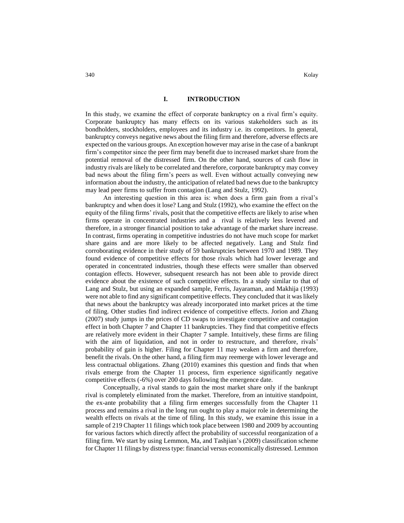#### **I. INTRODUCTION**

In this study, we examine the effect of corporate bankruptcy on a rival firm's equity. Corporate bankruptcy has many effects on its various stakeholders such as its bondholders, stockholders, employees and its industry i.e. its competitors. In general, bankruptcy conveys negative news about the filing firm and therefore, adverse effects are expected on the various groups. An exception however may arise in the case of a bankrupt firm's competitor since the peer firm may benefit due to increased market share from the potential removal of the distressed firm. On the other hand, sources of cash flow in industry rivals are likely to be correlated and therefore, corporate bankruptcy may convey bad news about the filing firm's peers as well. Even without actually conveying new information about the industry, the anticipation of related bad news due to the bankruptcy may lead peer firms to suffer from contagion (Lang and Stulz, 1992).

An interesting question in this area is: when does a firm gain from a rival's bankruptcy and when does it lose? Lang and Stulz (1992), who examine the effect on the equity of the filing firms' rivals, posit that the competitive effects are likely to arise when firms operate in concentrated industries and a rival is relatively less levered and therefore, in a stronger financial position to take advantage of the market share increase. In contrast, firms operating in competitive industries do not have much scope for market share gains and are more likely to be affected negatively. Lang and Stulz find corroborating evidence in their study of 59 bankruptcies between 1970 and 1989. They found evidence of competitive effects for those rivals which had lower leverage and operated in concentrated industries, though these effects were smaller than observed contagion effects. However, subsequent research has not been able to provide direct evidence about the existence of such competitive effects. In a study similar to that of Lang and Stulz, but using an expanded sample, Ferris, Jayaraman, and Makhija (1993) were not able to find any significant competitive effects. They concluded that it was likely that news about the bankruptcy was already incorporated into market prices at the time of filing. Other studies find indirect evidence of competitive effects. Jorion and Zhang (2007) study jumps in the prices of CD swaps to investigate competitive and contagion effect in both Chapter 7 and Chapter 11 bankruptcies. They find that competitive effects are relatively more evident in their Chapter 7 sample. Intuitively, these firms are filing with the aim of liquidation, and not in order to restructure, and therefore, rivals' probability of gain is higher. Filing for Chapter 11 may weaken a firm and therefore, benefit the rivals. On the other hand, a filing firm may reemerge with lower leverage and less contractual obligations. Zhang (2010) examines this question and finds that when rivals emerge from the Chapter 11 process, firm experience significantly negative competitive effects (-6%) over 200 days following the emergence date.

Conceptually, a rival stands to gain the most market share only if the bankrupt rival is completely eliminated from the market. Therefore, from an intuitive standpoint, the ex-ante probability that a filing firm emerges successfully from the Chapter 11 process and remains a rival in the long run ought to play a major role in determining the wealth effects on rivals at the time of filing. In this study, we examine this issue in a sample of 219 Chapter 11 filings which took place between 1980 and 2009 by accounting for various factors which directly affect the probability of successful reorganization of a filing firm. We start by using Lemmon, Ma, and Tashjian's (2009) classification scheme for Chapter 11 filings by distress type: financial versus economically distressed. Lemmon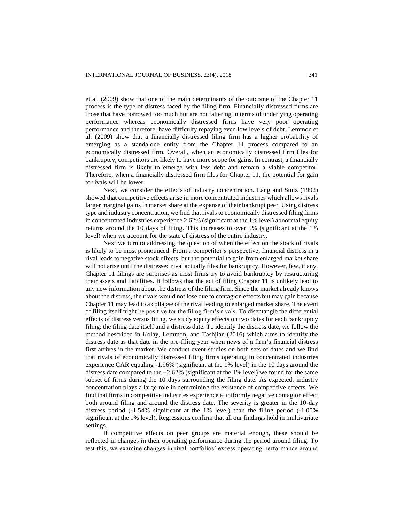et al. (2009) show that one of the main determinants of the outcome of the Chapter 11 process is the type of distress faced by the filing firm. Financially distressed firms are those that have borrowed too much but are not faltering in terms of underlying operating performance whereas economically distressed firms have very poor operating performance and therefore, have difficulty repaying even low levels of debt. Lemmon et al. (2009) show that a financially distressed filing firm has a higher probability of emerging as a standalone entity from the Chapter 11 process compared to an economically distressed firm. Overall, when an economically distressed firm files for bankruptcy, competitors are likely to have more scope for gains. In contrast, a financially distressed firm is likely to emerge with less debt and remain a viable competitor. Therefore, when a financially distressed firm files for Chapter 11, the potential for gain to rivals will be lower.

Next, we consider the effects of industry concentration. Lang and Stulz (1992) showed that competitive effects arise in more concentrated industries which allows rivals larger marginal gains in market share at the expense of their bankrupt peer. Using distress type and industry concentration, we find that rivals to economically distressed filing firms in concentrated industries experience 2.62% (significant at the 1% level) abnormal equity returns around the 10 days of filing. This increases to over 5% (significant at the 1% level) when we account for the state of distress of the entire industry.

Next we turn to addressing the question of when the effect on the stock of rivals is likely to be most pronounced. From a competitor's perspective, financial distress in a rival leads to negative stock effects, but the potential to gain from enlarged market share will not arise until the distressed rival actually files for bankruptcy. However, few, if any, Chapter 11 filings are surprises as most firms try to avoid bankruptcy by restructuring their assets and liabilities. It follows that the act of filing Chapter 11 is unlikely lead to any new information about the distress of the filing firm. Since the market already knows about the distress, the rivals would not lose due to contagion effects but may gain because Chapter 11 may lead to a collapse of the rival leading to enlarged market share. The event of filing itself night be positive for the filing firm's rivals. To disentangle the differential effects of distress versus filing, we study equity effects on two dates for each bankruptcy filing: the filing date itself and a distress date. To identify the distress date, we follow the method described in Kolay, Lemmon, and Tashjian (2016) which aims to identify the distress date as that date in the pre-filing year when news of a firm's financial distress first arrives in the market. We conduct event studies on both sets of dates and we find that rivals of economically distressed filing firms operating in concentrated industries experience CAR equaling -1.96% (significant at the 1% level) in the 10 days around the distress date compared to the +2.62% (significant at the 1% level) we found for the same subset of firms during the 10 days surrounding the filing date. As expected, industry concentration plays a large role in determining the existence of competitive effects. We find that firms in competitive industries experience a uniformly negative contagion effect both around filing and around the distress date. The severity is greater in the 10-day distress period (-1.54% significant at the 1% level) than the filing period (-1.00% significant at the 1% level). Regressions confirm that all our findings hold in multivariate settings.

If competitive effects on peer groups are material enough, these should be reflected in changes in their operating performance during the period around filing. To test this, we examine changes in rival portfolios' excess operating performance around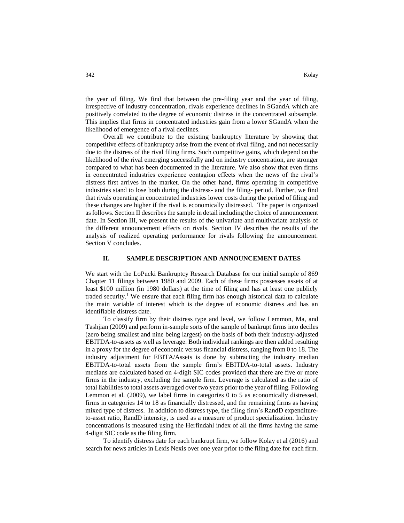the year of filing. We find that between the pre-filing year and the year of filing, irrespective of industry concentration, rivals experience declines in SGandA which are positively correlated to the degree of economic distress in the concentrated subsample. This implies that firms in concentrated industries gain from a lower SGandA when the likelihood of emergence of a rival declines.

Overall we contribute to the existing bankruptcy literature by showing that competitive effects of bankruptcy arise from the event of rival filing, and not necessarily due to the distress of the rival filing firms. Such competitive gains, which depend on the likelihood of the rival emerging successfully and on industry concentration, are stronger compared to what has been documented in the literature. We also show that even firms in concentrated industries experience contagion effects when the news of the rival's distress first arrives in the market. On the other hand, firms operating in competitive industries stand to lose both during the distress- and the filing- period. Further, we find that rivals operating in concentrated industries lower costs during the period of filing and these changes are higher if the rival is economically distressed. The paper is organized as follows. Section II describes the sample in detail including the choice of announcement date. In Section III, we present the results of the univariate and multivariate analysis of the different announcement effects on rivals. Section IV describes the results of the analysis of realized operating performance for rivals following the announcement. Section V concludes.

## **II. SAMPLE DESCRIPTION AND ANNOUNCEMENT DATES**

We start with the LoPucki Bankruptcy Research Database for our initial sample of 869 Chapter 11 filings between 1980 and 2009. Each of these firms possesses assets of at least \$100 million (in 1980 dollars) at the time of filing and has at least one publicly traded security.<sup>1</sup> We ensure that each filing firm has enough historical data to calculate the main variable of interest which is the degree of economic distress and has an identifiable distress date.

To classify firm by their distress type and level, we follow Lemmon, Ma, and Tashjian (2009) and perform in-sample sorts of the sample of bankrupt firms into deciles (zero being smallest and nine being largest) on the basis of both their industry-adjusted EBITDA-to-assets as well as leverage. Both individual rankings are then added resulting in a proxy for the degree of economic versus financial distress, ranging from 0 to 18. The industry adjustment for EBITA/Assets is done by subtracting the industry median EBITDA-to-total assets from the sample firm's EBITDA-to-total assets. Industry medians are calculated based on 4-digit SIC codes provided that there are five or more firms in the industry, excluding the sample firm. Leverage is calculated as the ratio of total liabilities to total assets averaged over two years prior to the year of filing. Following Lemmon et al. (2009), we label firms in categories 0 to 5 as economically distressed, firms in categories 14 to 18 as financially distressed, and the remaining firms as having mixed type of distress. In addition to distress type, the filing firm's RandD expenditureto-asset ratio, RandD intensity, is used as a measure of product specialization. Industry concentrations is measured using the Herfindahl index of all the firms having the same 4-digit SIC code as the filing firm.

To identify distress date for each bankrupt firm, we follow Kolay et al (2016) and search for news articles in Lexis Nexis over one year prior to the filing date for each firm.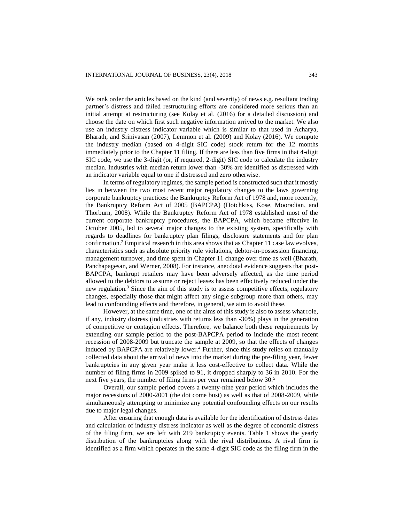We rank order the articles based on the kind (and severity) of news e.g. resultant trading partner's distress and failed restructuring efforts are considered more serious than an initial attempt at restructuring (see Kolay et al. (2016) for a detailed discussion) and choose the date on which first such negative information arrived to the market. We also use an industry distress indicator variable which is similar to that used in Acharya, Bharath, and Srinivasan (2007), Lemmon et al. (2009) and Kolay (2016). We compute the industry median (based on 4-digit SIC code) stock return for the 12 months immediately prior to the Chapter 11 filing. If there are less than five firms in that 4-digit SIC code, we use the 3-digit (or, if required, 2-digit) SIC code to calculate the industry median. Industries with median return lower than -30% are identified as distressed with an indicator variable equal to one if distressed and zero otherwise.

In terms of regulatory regimes, the sample period is constructed such that it mostly lies in between the two most recent major regulatory changes to the laws governing corporate bankruptcy practices: the Bankruptcy Reform Act of 1978 and, more recently, the Bankruptcy Reform Act of 2005 (BAPCPA) (Hotchkiss, Kose, Mooradian, and Thorburn, 2008). While the Bankruptcy Reform Act of 1978 established most of the current corporate bankruptcy procedures, the BAPCPA, which became effective in October 2005, led to several major changes to the existing system, specifically with regards to deadlines for bankruptcy plan filings, disclosure statements and for plan confirmation.<sup>2</sup> Empirical research in this area shows that as Chapter 11 case law evolves, characteristics such as absolute priority rule violations, debtor-in-possession financing, management turnover, and time spent in Chapter 11 change over time as well (Bharath, Panchapagesan, and Werner, 2008). For instance, anecdotal evidence suggests that post-BAPCPA, bankrupt retailers may have been adversely affected, as the time period allowed to the debtors to assume or reject leases has been effectively reduced under the new regulation.<sup>3</sup> Since the aim of this study is to assess competitive effects, regulatory changes, especially those that might affect any single subgroup more than others, may lead to confounding effects and therefore, in general, we aim to avoid these.

However, at the same time, one of the aims of this study is also to assess what role, if any, industry distress (industries with returns less than -30%) plays in the generation of competitive or contagion effects. Therefore, we balance both these requirements by extending our sample period to the post-BAPCPA period to include the most recent recession of 2008-2009 but truncate the sample at 2009, so that the effects of changes induced by BAPCPA are relatively lower.<sup>4</sup> Further, since this study relies on manually collected data about the arrival of news into the market during the pre-filing year, fewer bankruptcies in any given year make it less cost-effective to collect data. While the number of filing firms in 2009 spiked to 91, it dropped sharply to 36 in 2010. For the next five years, the number of filing firms per year remained below 30.<sup>5</sup>

Overall, our sample period covers a twenty-nine year period which includes the major recessions of 2000-2001 (the dot come bust) as well as that of 2008-2009, while simultaneously attempting to minimize any potential confounding effects on our results due to major legal changes.

After ensuring that enough data is available for the identification of distress dates and calculation of industry distress indicator as well as the degree of economic distress of the filing firm, we are left with 219 bankruptcy events. Table 1 shows the yearly distribution of the bankruptcies along with the rival distributions. A rival firm is identified as a firm which operates in the same 4-digit SIC code as the filing firm in the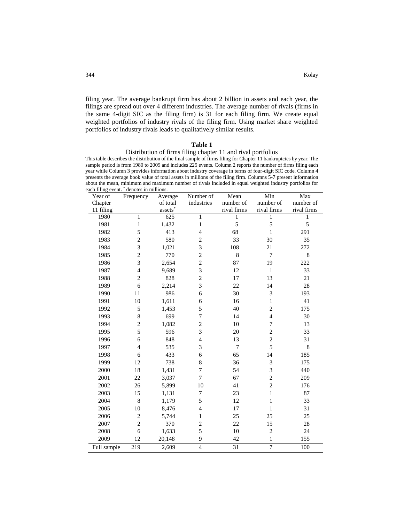filing year. The average bankrupt firm has about 2 billion in assets and each year, the filings are spread out over 4 different industries. The average number of rivals (firms in the same 4-digit SIC as the filing firm) is 31 for each filing firm. We create equal weighted portfolios of industry rivals of the filing firm. Using market share weighted portfolios of industry rivals leads to qualitatively similar results.

## **Table 1**

Distribution of firms filing chapter 11 and rival portfolios This table describes the distribution of the final sample of firms filing for Chapter 11 bankruptcies by year. The sample period is from 1980 to 2009 and includes 225 events. Column 2 reports the number of firms filing each year while Column 3 provides information about industry coverage in terms of four-digit SIC code. Column 4 presents the average book value of total assets in millions of the filing firm. Columns 5-7 present information about the mean, minimum and maximum number of rivals included in equal weighted industry portfolios for each filing event. \* denotes in millions.

| асп пшид сусит.<br>Year of | denotes in immons.<br>Frequency | Average  | Number of      | Mean            | Min            | Max         |
|----------------------------|---------------------------------|----------|----------------|-----------------|----------------|-------------|
| Chapter                    |                                 | of total | industries     | number of       | number of      | number of   |
| 11 filing                  |                                 | assets*  |                | rival firms     | rival firms    | rival firms |
| 1980                       | $\mathbf{1}$                    | 625      | $\mathbf{1}$   | 1               | 1              | 1           |
| 1981                       | $\mathbf{1}$                    | 1,432    | $\mathbf{1}$   | 5               | 5              | 5           |
| 1982                       | 5                               | 413      | $\overline{4}$ | 68              | $\mathbf{1}$   | 291         |
| 1983                       | $\overline{c}$                  | 580      | $\overline{c}$ | 33              | 30             | 35          |
| 1984                       | $\overline{3}$                  | 1,021    | 3              | 108             | $21\,$         | 272         |
| 1985                       | $\overline{c}$                  | 770      | $\sqrt{2}$     | 8               | $\overline{7}$ | 8           |
| 1986                       | $\overline{3}$                  | 2,654    | $\overline{2}$ | 87              | 19             | 222         |
| 1987                       | $\overline{4}$                  | 9,689    | $\overline{3}$ | 12              | $\mathbf 1$    | 33          |
| 1988                       | $\overline{c}$                  | 828      | $\overline{2}$ | 17              | 13             | 21          |
| 1989                       | 6                               | 2,214    | 3              | 22              | 14             | 28          |
| 1990                       | 11                              | 986      | 6              | 30              | 3              | 193         |
| 1991                       | 10                              | 1,611    | 6              | 16              | $\,1$          | 41          |
| 1992                       | 5                               | 1,453    | 5              | 40              | $\overline{c}$ | 175         |
| 1993                       | $\,8\,$                         | 699      | $\overline{7}$ | 14              | $\overline{4}$ | 30          |
| 1994                       | $\overline{c}$                  | 1,082    | $\overline{2}$ | 10              | $\overline{7}$ | 13          |
| 1995                       | 5                               | 596      | 3              | 20              | $\overline{c}$ | 33          |
| 1996                       | 6                               | 848      | $\overline{4}$ | 13              | $\overline{c}$ | 31          |
| 1997                       | $\overline{4}$                  | 535      | 3              | $\overline{7}$  | 5              | $\,$ 8 $\,$ |
| 1998                       | 6                               | 433      | 6              | 65              | 14             | 185         |
| 1999                       | 12                              | 738      | $\,8\,$        | 36              | 3              | 175         |
| 2000                       | 18                              | 1,431    | $\tau$         | 54              | 3              | 440         |
| 2001                       | 22                              | 3,037    | $\overline{7}$ | 67              | $\overline{c}$ | 209         |
| 2002                       | 26                              | 5,899    | 10             | 41              | $\overline{c}$ | 176         |
| 2003                       | 15                              | 1,131    | 7              | 23              | $\,1$          | 87          |
| 2004                       | $\,8\,$                         | 1,179    | 5              | 12              | $\,1$          | 33          |
| 2005                       | 10                              | 8,476    | $\overline{4}$ | 17              | $\mathbf{1}$   | 31          |
| 2006                       | $\overline{c}$                  | 5,744    | $\mathbf{1}$   | 25              | 25             | 25          |
| 2007                       | $\overline{2}$                  | 370      | $\overline{2}$ | 22              | 15             | 28          |
| 2008                       | 6                               | 1,633    | 5              | 10              | $\overline{c}$ | 24          |
| 2009                       | 12                              | 20,148   | 9              | 42              | $\mathbf{1}$   | 155         |
| Full sample                | 219                             | 2,609    | $\overline{4}$ | $\overline{31}$ | $\overline{7}$ | 100         |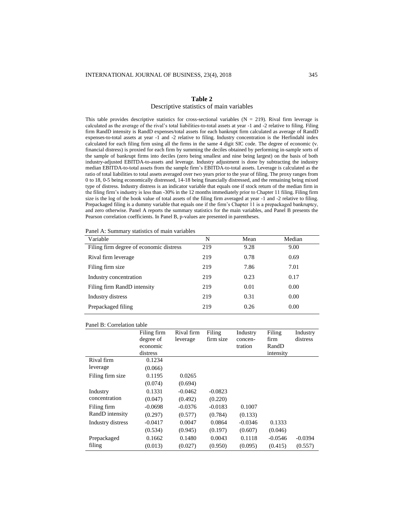#### **Table 2**

## Descriptive statistics of main variables

This table provides descriptive statistics for cross-sectional variables ( $N = 219$ ). Rival firm leverage is calculated as the average of the rival's total liabilities-to-total assets at year -1 and -2 relative to filing. Filing firm RandD intensity is RandD expenses/total assets for each bankrupt firm calculated as average of RandD expenses-to-total assets at year -1 and -2 relative to filing. Industry concentration is the Herfindahl index calculated for each filing firm using all the firms in the same 4 digit SIC code. The degree of economic (v. financial distress) is proxied for each firm by summing the deciles obtained by performing in-sample sorts of the sample of bankrupt firms into deciles (zero being smallest and nine being largest) on the basis of both industry-adjusted EBITDA-to-assets and leverage. Industry adjustment is done by subtracting the industry median EBITDA-to-total assets from the sample firm's EBITDA-to-total assets. Leverage is calculated as the ratio of total liabilities to total assets averaged over two years prior to the year of filing. The proxy ranges from 0 to 18, 0-5 being economically distressed, 14-18 being financially distressed, and the remaining being mixed type of distress. Industry distress is an indicator variable that equals one if stock return of the median firm in the filing firm's industry is less than -30% in the 12 months immediately prior to Chapter 11 filing. Filing firm size is the log of the book value of total assets of the filing firm averaged at year -1 and -2 relative to filing. Prepackaged filing is a dummy variable that equals one if the firm's Chapter 11 is a prepackaged bankruptcy, and zero otherwise. Panel A reports the summary statistics for the main variables, and Panel B presents the Pearson correlation coefficients. In Panel B, p-values are presented in parentheses.

| Variable                                | N   | Mean | Median |
|-----------------------------------------|-----|------|--------|
| Filing firm degree of economic distress | 219 | 9.28 | 9.00   |
| Rival firm leverage                     | 219 | 0.78 | 0.69   |
| Filing firm size                        | 219 | 7.86 | 7.01   |
| Industry concentration                  | 219 | 0.23 | 0.17   |
| Filing firm RandD intensity             | 219 | 0.01 | 0.00   |
| Industry distress                       | 219 | 0.31 | 0.00   |
| Prepackaged filing                      | 219 | 0.26 | 0.00   |
|                                         |     |      |        |

Panel A: Summary statistics of main variables

#### Panel B: Correlation table

|                   | Filing firm<br>degree of | Rival firm<br>leverage | Filing<br>firm size | Industry<br>concen- | Filing<br>firm | Industry<br>distress |
|-------------------|--------------------------|------------------------|---------------------|---------------------|----------------|----------------------|
|                   | economic                 |                        |                     | tration             | RandD          |                      |
|                   | distress                 |                        |                     |                     | intensity      |                      |
| Rival firm        | 0.1234                   |                        |                     |                     |                |                      |
| leverage          | (0.066)                  |                        |                     |                     |                |                      |
| Filing firm size  | 0.1195                   | 0.0265                 |                     |                     |                |                      |
|                   | (0.074)                  | (0.694)                |                     |                     |                |                      |
| Industry          | 0.1331                   | $-0.0462$              | $-0.0823$           |                     |                |                      |
| concentration     | (0.047)                  | (0.492)                | (0.220)             |                     |                |                      |
| Filing firm       | $-0.0698$                | $-0.0376$              | $-0.0183$           | 0.1007              |                |                      |
| RandD intensity   | (0.297)                  | (0.577)                | (0.784)             | (0.133)             |                |                      |
| Industry distress | $-0.0417$                | 0.0047                 | 0.0864              | $-0.0346$           | 0.1333         |                      |
|                   | (0.534)                  | (0.945)                | (0.197)             | (0.607)             | (0.046)        |                      |
| Prepackaged       | 0.1662                   | 0.1480                 | 0.0043              | 0.1118              | $-0.0546$      | $-0.0394$            |
| filing            | (0.013)                  | (0.027)                | (0.950)             | (0.095)             | (0.415)        | (0.557)              |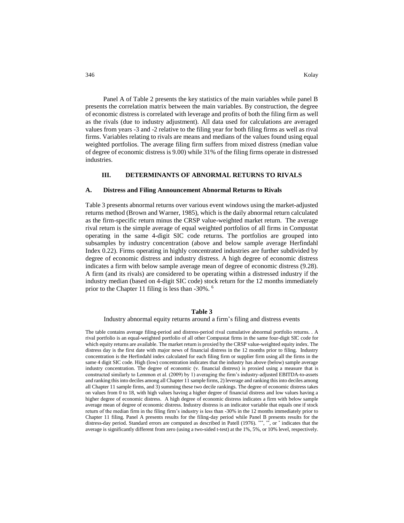Panel A of Table 2 presents the key statistics of the main variables while panel B presents the correlation matrix between the main variables. By construction, the degree of economic distress is correlated with leverage and profits of both the filing firm as well as the rivals (due to industry adjustment). All data used for calculations are averaged values from years -3 and -2 relative to the filing year for both filing firms as well as rival firms. Variables relating to rivals are means and medians of the values found using equal weighted portfolios. The average filing firm suffers from mixed distress (median value of degree of economic distress is 9.00) while 31% of the filing firms operate in distressed industries.

## **III. DETERMINANTS OF ABNORMAL RETURNS TO RIVALS**

## **A. Distress and Filing Announcement Abnormal Returns to Rivals**

Table 3 presents abnormal returns over various event windows using the market-adjusted returns method (Brown and Warner, 1985), which is the daily abnormal return calculated as the firm-specific return minus the CRSP value-weighted market return. The average rival return is the simple average of equal weighted portfolios of all firms in Compustat operating in the same 4-digit SIC code returns. The portfolios are grouped into subsamples by industry concentration (above and below sample average Herfindahl Index 0.22). Firms operating in highly concentrated industries are further subdivided by degree of economic distress and industry distress. A high degree of economic distress indicates a firm with below sample average mean of degree of economic distress (9.28). A firm (and its rivals) are considered to be operating within a distressed industry if the industry median (based on 4-digit SIC code) stock return for the 12 months immediately prior to the Chapter 11 filing is less than -30%. <sup>6</sup>

#### **Table 3**

## Industry abnormal equity returns around a firm's filing and distress events

The table contains average filing-period and distress-period rival cumulative abnormal portfolio returns. . A rival portfolio is an equal-weighted portfolio of all other Compustat firms in the same four-digit SIC code for which equity returns are available. The market return is proxied by the CRSP value-weighted equity index. The distress day is the first date with major news of financial distress in the 12 months prior to filing. Industry concentration is the Herfindahl index calculated for each filing firm or supplier firm using all the firms in the same 4 digit SIC code. High (low) concentration indicates that the industry has above (below) sample average industry concentration. The degree of economic (v. financial distress) is proxied using a measure that is constructed similarly to Lemmon et al. (2009) by 1) averaging the firm's industry-adjusted EBITDA-to-assets and ranking this into deciles among all Chapter 11 sample firms, 2) leverage and ranking this into deciles among all Chapter 11 sample firms, and 3) summing these two decile rankings. The degree of economic distress takes on values from 0 to 18, with high values having a higher degree of financial distress and low values having a higher degree of economic distress. A high degree of economic distress indicates a firm with below sample average mean of degree of economic distress. Industry distress is an indicator variable that equals one if stock return of the median firm in the filing firm's industry is less than -30% in the 12 months immediately prior to Chapter 11 filing. Panel A presents results for the filing-day period while Panel B presents results for the distress-day period. Standard errors are computed as described in Patell (1976). \*\*\*, \*\*, or \* indicates that the average is significantly different from zero (using a two-sided t-test) at the 1%, 5%, or 10% level, respectively.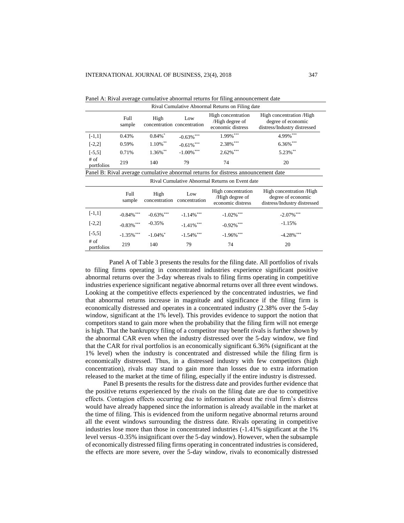| Rival Cumulative Abnormal Returns on Filing date |                |                                     |                      |                                                                                   |                                                                                 |  |  |
|--------------------------------------------------|----------------|-------------------------------------|----------------------|-----------------------------------------------------------------------------------|---------------------------------------------------------------------------------|--|--|
|                                                  | Full<br>sample | High<br>concentration concentration | Low                  | High concentration<br>/High degree of<br>economic distress                        | High concentration / High<br>degree of economic<br>distress/Industry distressed |  |  |
| $[-1,1]$                                         | 0.43%          | $0.84\%$ <sup>*</sup>               | $-0.63\%$ ***        | 1.99%***                                                                          | 4.99%***                                                                        |  |  |
| $[-2,2]$                                         | 0.59%          | $1.10\%$ **                         | $-0.61\%$ ***        | 2.38%***                                                                          | 6.36%***                                                                        |  |  |
| $[-5,5]$                                         | 0.71%          | 1.36%**                             | $-1.00\%$ ***        | $2.62\%$ ***                                                                      | 5.23%**                                                                         |  |  |
| $#$ of<br>portfolios                             | 219            | 140                                 | 79                   | 74                                                                                | 20                                                                              |  |  |
|                                                  |                |                                     |                      | Panel B: Rival average cumulative abnormal returns for distress announcement date |                                                                                 |  |  |
|                                                  |                |                                     |                      | Rival Cumulative Abnormal Returns on Event date                                   |                                                                                 |  |  |
|                                                  | Full<br>sample | High<br>concentration               | Low<br>concentration | High concentration<br>/High degree of<br>economic distress                        | High concentration /High<br>degree of economic<br>distress/Industry distressed  |  |  |
| $[-1,1]$                                         | $-0.84\%$ ***  | $-0.63\%$ ***                       | $-1.14\%$ ***        | $-1.02\%$ <sup>***</sup>                                                          | $-2.07\%$ ***                                                                   |  |  |
| $[-2,2]$                                         | $-0.83\%$ ***  | $-0.35%$                            | $-1.41\%$ ***        | $-0.92\%$ ***                                                                     | $-1.15%$                                                                        |  |  |
| $[-5,5]$                                         | $-1.35\%$ ***  | $-1.04\%$ <sup>*</sup>              | $-1.54\%$ ***        | $-1.96\%$ ***                                                                     | $-4.28%$ ***                                                                    |  |  |
| # of<br>portfolios                               | 219            | 140                                 | 79                   | 74                                                                                | 20                                                                              |  |  |

Panel A: Rival average cumulative abnormal returns for filing announcement date<br>Rival Cumulative Abnormal Returns on Filing data

Panel A of Table 3 presents the results for the filing date. All portfolios of rivals to filing firms operating in concentrated industries experience significant positive abnormal returns over the 3-day whereas rivals to filing firms operating in competitive industries experience significant negative abnormal returns over all three event windows. Looking at the competitive effects experienced by the concentrated industries, we find that abnormal returns increase in magnitude and significance if the filing firm is economically distressed and operates in a concentrated industry (2.38% over the 5-day window, significant at the 1% level). This provides evidence to support the notion that competitors stand to gain more when the probability that the filing firm will not emerge is high. That the bankruptcy filing of a competitor may benefit rivals is further shown by the abnormal CAR even when the industry distressed over the 5-day window, we find that the CAR for rival portfolios is an economically significant 6.36% (significant at the 1% level) when the industry is concentrated and distressed while the filing firm is economically distressed. Thus, in a distressed industry with few competitors (high concentration), rivals may stand to gain more than losses due to extra information released to the market at the time of filing, especially if the entire industry is distressed.

Panel B presents the results for the distress date and provides further evidence that the positive returns experienced by the rivals on the filing date are due to competitive effects. Contagion effects occurring due to information about the rival firm's distress would have already happened since the information is already available in the market at the time of filing. This is evidenced from the uniform negative abnormal returns around all the event windows surrounding the distress date. Rivals operating in competitive industries lose more than those in concentrated industries (-1.41% significant at the 1% level versus -0.35% insignificant over the 5-day window). However, when the subsample of economically distressed filing firms operating in concentrated industries is considered, the effects are more severe, over the 5-day window, rivals to economically distressed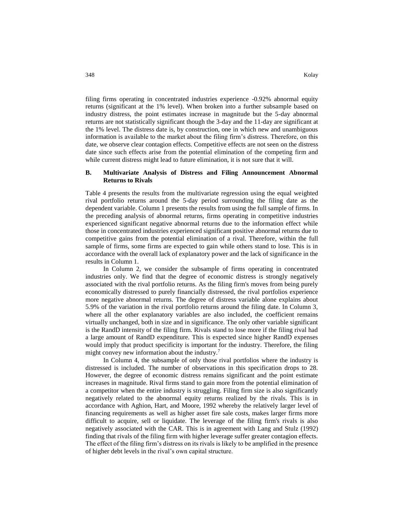filing firms operating in concentrated industries experience -0.92% abnormal equity returns (significant at the 1% level). When broken into a further subsample based on industry distress, the point estimates increase in magnitude but the 5-day abnormal returns are not statistically significant though the 3-day and the 11-day are significant at the 1% level. The distress date is, by construction, one in which new and unambiguous information is available to the market about the filing firm's distress. Therefore, on this date, we observe clear contagion effects. Competitive effects are not seen on the distress date since such effects arise from the potential elimination of the competing firm and while current distress might lead to future elimination, it is not sure that it will.

## **B. Multivariate Analysis of Distress and Filing Announcement Abnormal Returns to Rivals**

Table 4 presents the results from the multivariate regression using the equal weighted rival portfolio returns around the 5-day period surrounding the filing date as the dependent variable. Column 1 presents the results from using the full sample of firms. In the preceding analysis of abnormal returns, firms operating in competitive industries experienced significant negative abnormal returns due to the information effect while those in concentrated industries experienced significant positive abnormal returns due to competitive gains from the potential elimination of a rival. Therefore, within the full sample of firms, some firms are expected to gain while others stand to lose. This is in accordance with the overall lack of explanatory power and the lack of significance in the results in Column 1.

In Column 2, we consider the subsample of firms operating in concentrated industries only. We find that the degree of economic distress is strongly negatively associated with the rival portfolio returns. As the filing firm's moves from being purely economically distressed to purely financially distressed, the rival portfolios experience more negative abnormal returns. The degree of distress variable alone explains about 5.9% of the variation in the rival portfolio returns around the filing date. In Column 3, where all the other explanatory variables are also included, the coefficient remains virtually unchanged, both in size and in significance. The only other variable significant is the RandD intensity of the filing firm. Rivals stand to lose more if the filing rival had a large amount of RandD expenditure. This is expected since higher RandD expenses would imply that product specificity is important for the industry. Therefore, the filing might convey new information about the industry.<sup>7</sup>

In Column 4, the subsample of only those rival portfolios where the industry is distressed is included. The number of observations in this specification drops to 28. However, the degree of economic distress remains significant and the point estimate increases in magnitude. Rival firms stand to gain more from the potential elimination of a competitor when the entire industry is struggling. Filing firm size is also significantly negatively related to the abnormal equity returns realized by the rivals. This is in accordance with Aghion, Hart, and Moore, 1992 whereby the relatively larger level of financing requirements as well as higher asset fire sale costs, makes larger firms more difficult to acquire, sell or liquidate. The leverage of the filing firm's rivals is also negatively associated with the CAR. This is in agreement with Lang and Stulz (1992) finding that rivals of the filing firm with higher leverage suffer greater contagion effects. The effect of the filing firm's distress on its rivals is likely to be amplified in the presence of higher debt levels in the rival's own capital structure.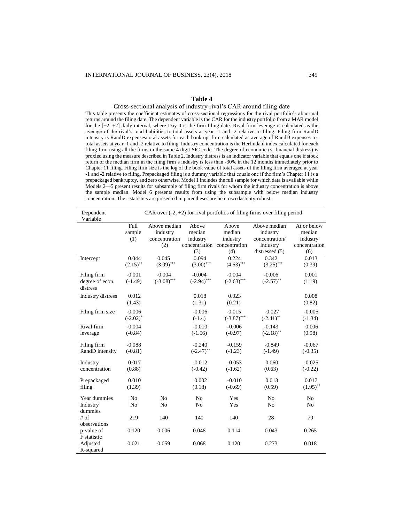## **Table 4**

Cross-sectional analysis of industry rival's CAR around filing date This table presents the coefficient estimates of cross-sectional regressions for the rival portfolio's abnormal returns around the filing date. The dependent variable is the CAR for the industry portfolio from a MAR model for the [−2, +2] daily interval, where Day 0 is the firm filing date. Rival firm leverage is calculated as the average of the rival's total liabilities-to-total assets at year -1 and -2 relative to filing. Filing firm RandD intensity is RandD expenses/total assets for each bankrupt firm calculated as average of RandD expenses-tototal assets at year -1 and -2 relative to filing. Industry concentration is the Herfindahl index calculated for each filing firm using all the firms in the same 4 digit SIC code. The degree of economic (v. financial distress) is proxied using the measure described in Table 2. Industry distress is an indicator variable that equals one if stock return of the median firm in the filing firm's industry is less than -30% in the 12 months immediately prior to Chapter 11 filing. Filing firm size is the log of the book value of total assets of the filing firm averaged at year -1 and -2 relative to filing. Prepackaged filing is a dummy variable that equals one if the firm's Chapter 11 is a prepackaged bankruptcy, and zero otherwise. Model 1 includes the full sample for which data is available while Models 2—5 present results for subsample of filing firm rivals for whom the industry concentration is above the sample median. Model 6 presents results from using the subsample with below median industry concentration. The t-statistics are presented in parentheses are heteroscedasticity-robust.

| Dependent                |             |               |               |                             | CAR over $(-2, +2)$ for rival portfolios of filing firms over filing period |               |
|--------------------------|-------------|---------------|---------------|-----------------------------|-----------------------------------------------------------------------------|---------------|
| Variable                 |             |               |               |                             |                                                                             |               |
|                          | Full        | Above median  | Above         | Above                       | Above median                                                                | At or below   |
|                          | sample      | industry      | median        | median                      | industry                                                                    | median        |
|                          | (1)         | concentration | industry      | industry                    | concentration/                                                              | industry      |
|                          |             | (2)           |               | concentration concentration | Industry                                                                    | concentration |
|                          |             |               | (3)           | (4)                         | distressed $(5)$                                                            | (6)           |
| Intercept                | 0.044       | 0.045         | 0.094         | 0.224                       | 0.342                                                                       | 0.013         |
|                          | $(2.15)$ ** | $(3.09)$ ***  | $(3.00)$ ***  | $(4.63)$ ***                | $(3.25)$ ***                                                                | (0.39)        |
| Filing firm              | $-0.001$    | $-0.004$      | $-0.004$      | $-0.004$                    | $-0.006$                                                                    | 0.001         |
| degree of econ.          | $(-1.49)$   | $(-3.08)$ *** | $(-2.94)$ *** | $(-2.63)$ ***               | $(-2.57)$ **                                                                | (1.19)        |
| distress                 |             |               |               |                             |                                                                             |               |
| <b>Industry distress</b> | 0.012       |               | 0.018         | 0.023                       |                                                                             | 0.008         |
|                          | (1.43)      |               | (1.31)        | (0.21)                      |                                                                             | (0.82)        |
| Filing firm size         | $-0.006$    |               | $-0.006$      | $-0.015$                    | $-0.027$                                                                    | $-0.005$      |
|                          | $(-2.02)^*$ |               | $(-1.4)$      | $(-3.87)$ ***               | $(-2.41)$ **                                                                | $(-1.34)$     |
| Rival firm               | $-0.004$    |               | $-0.010$      | $-0.006$                    | $-0.143$                                                                    | 0.006         |
| leverage                 | $(-0.84)$   |               | $(-1.56)$     | $(-0.97)$                   | $(-2.18)$ **                                                                | (0.98)        |
| Filing firm              | $-0.088$    |               | $-0.240$      | $-0.159$                    | $-0.849$                                                                    | $-0.067$      |
| RandD intensity          | $(-0.81)$   |               | $(-2.47)$ **  | $(-1.23)$                   | $(-1.49)$                                                                   | $(-0.35)$     |
| Industry                 | 0.017       |               | $-0.012$      | $-0.053$                    | 0.060                                                                       | $-0.025$      |
| concentration            | (0.88)      |               | $(-0.42)$     | $(-1.62)$                   | (0.63)                                                                      | $(-0.22)$     |
|                          |             |               |               |                             |                                                                             |               |
| Prepackaged              | 0.010       |               | 0.002         | $-0.010$                    | 0.013                                                                       | 0.017         |
| filing                   | (1.39)      |               | (0.18)        | $(-0.69)$                   | (0.59)                                                                      | $(1.95)$ **   |
| Year dummies             | No          | No            | No            | Yes                         | No                                                                          | No            |
| Industry                 | No          | No            | No            | Yes                         | No                                                                          | No            |
| dummies                  |             |               |               |                             |                                                                             |               |
| # of                     | 219         | 140           | 140           | 140                         | 28                                                                          | 79            |
| observations             |             |               |               |                             |                                                                             |               |
| p-value of               | 0.120       | 0.006         | 0.048         | 0.114                       | 0.043                                                                       | 0.265         |
| F statistic              |             |               |               |                             |                                                                             |               |
| Adjusted                 | 0.021       | 0.059         | 0.068         | 0.120                       | 0.273                                                                       | 0.018         |
| R-squared                |             |               |               |                             |                                                                             |               |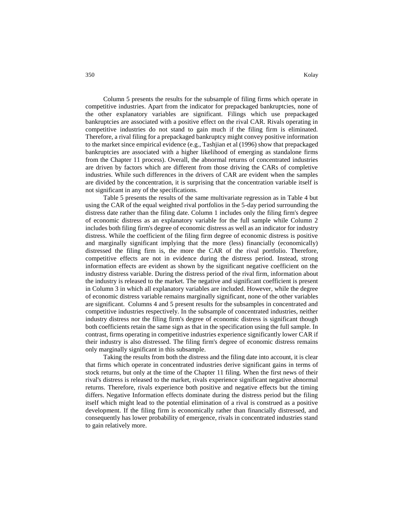Column 5 presents the results for the subsample of filing firms which operate in competitive industries. Apart from the indicator for prepackaged bankruptcies, none of the other explanatory variables are significant. Filings which use prepackaged bankruptcies are associated with a positive effect on the rival CAR. Rivals operating in competitive industries do not stand to gain much if the filing firm is eliminated. Therefore, a rival filing for a prepackaged bankruptcy might convey positive information to the market since empirical evidence (e.g., Tashjian et al (1996) show that prepackaged bankruptcies are associated with a higher likelihood of emerging as standalone firms from the Chapter 11 process). Overall, the abnormal returns of concentrated industries

are driven by factors which are different from those driving the CARs of completive industries. While such differences in the drivers of CAR are evident when the samples are divided by the concentration, it is surprising that the concentration variable itself is not significant in any of the specifications.

Table 5 presents the results of the same multivariate regression as in Table 4 but using the CAR of the equal weighted rival portfolios in the 5-day period surrounding the distress date rather than the filing date. Column 1 includes only the filing firm's degree of economic distress as an explanatory variable for the full sample while Column 2 includes both filing firm's degree of economic distress as well as an indicator for industry distress. While the coefficient of the filing firm degree of economic distress is positive and marginally significant implying that the more (less) financially (economically) distressed the filing firm is, the more the CAR of the rival portfolio. Therefore, competitive effects are not in evidence during the distress period. Instead, strong information effects are evident as shown by the significant negative coefficient on the industry distress variable. During the distress period of the rival firm, information about the industry is released to the market. The negative and significant coefficient is present in Column 3 in which all explanatory variables are included. However, while the degree of economic distress variable remains marginally significant, none of the other variables are significant. Columns 4 and 5 present results for the subsamples in concentrated and competitive industries respectively. In the subsample of concentrated industries, neither industry distress nor the filing firm's degree of economic distress is significant though both coefficients retain the same sign as that in the specification using the full sample. In contrast, firms operating in competitive industries experience significantly lower CAR if their industry is also distressed. The filing firm's degree of economic distress remains only marginally significant in this subsample.

Taking the results from both the distress and the filing date into account, it is clear that firms which operate in concentrated industries derive significant gains in terms of stock returns, but only at the time of the Chapter 11 filing. When the first news of their rival's distress is released to the market, rivals experience significant negative abnormal returns. Therefore, rivals experience both positive and negative effects but the timing differs. Negative Information effects dominate during the distress period but the filing itself which might lead to the potential elimination of a rival is construed as a positive development. If the filing firm is economically rather than financially distressed, and consequently has lower probability of emergence, rivals in concentrated industries stand to gain relatively more.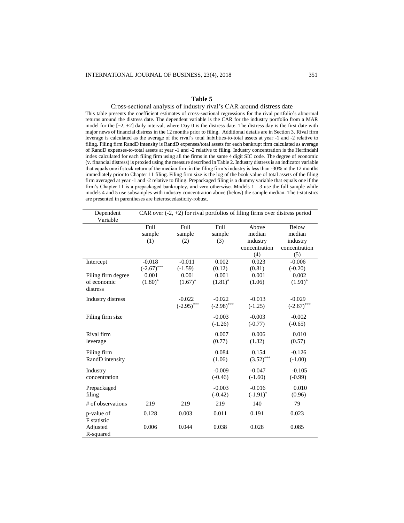## **Table 5**

Cross-sectional analysis of industry rival's CAR around distress date This table presents the coefficient estimates of cross-sectional regressions for the rival portfolio's abnormal returns around the distress date. The dependent variable is the CAR for the industry portfolio from a MAR model for the [−2, +2] daily interval, where Day 0 is the distress date. The distress day is the first date with major news of financial distress in the 12 months prior to filing. Additional details are in Section 3. Rival firm leverage is calculated as the average of the rival's total liabilities-to-total assets at year -1 and -2 relative to filing. Filing firm RandD intensity is RandD expenses/total assets for each bankrupt firm calculated as average of RandD expenses-to-total assets at year -1 and -2 relative to filing. Industry concentration is the Herfindahl index calculated for each filing firm using all the firms in the same 4 digit SIC code. The degree of economic (v. financial distress) is proxied using the measure described in Table 2. Industry distress is an indicator variable that equals one if stock return of the median firm in the filing firm's industry is less than -30% in the 12 months immediately prior to Chapter 11 filing. Filing firm size is the log of the book value of total assets of the filing firm averaged at year -1 and -2 relative to filing. Prepackaged filing is a dummy variable that equals one if the firm's Chapter 11 is a prepackaged bankruptcy, and zero otherwise. Models 1—3 use the full sample while models 4 and 5 use subsamples with industry concentration above (below) the sample median. The t-statistics are presented in parentheses are heteroscedasticity-robust.

| Dependent<br>Variable   | CAR over $(-2, +2)$ for rival portfolios of filing firms over distress period |               |               |               |               |  |  |
|-------------------------|-------------------------------------------------------------------------------|---------------|---------------|---------------|---------------|--|--|
|                         | Full                                                                          | Full          | Full          | Above         | Below         |  |  |
|                         | sample                                                                        | sample        | sample        | median        | median        |  |  |
|                         | (1)                                                                           | (2)           | (3)           | industry      | industry      |  |  |
|                         |                                                                               |               |               | concentration | concentration |  |  |
|                         |                                                                               |               |               | (4)           | (5)           |  |  |
| Intercept               | $-0.018$                                                                      | $-0.011$      | 0.002         | 0.023         | $-0.006$      |  |  |
|                         | $(-2.67)$ ***                                                                 | $(-1.59)$     | (0.12)        | (0.81)        | $(-0.20)$     |  |  |
| Filing firm degree      | 0.001                                                                         | 0.001         | 0.001         | 0.001         | 0.002         |  |  |
| of economic<br>distress | $(1.80)^*$                                                                    | $(1.67)^*$    | $(1.81)^*$    | (1.06)        | $(1.91)^*$    |  |  |
|                         |                                                                               |               |               |               |               |  |  |
| Industry distress       |                                                                               | $-0.022$      | $-0.022$      | $-0.013$      | $-0.029$      |  |  |
|                         |                                                                               | $(-2.95)$ *** | $(-2.98)$ *** | $(-1.25)$     | $(-2.67)$ *** |  |  |
| Filing firm size        |                                                                               |               | $-0.003$      | $-0.003$      | $-0.002$      |  |  |
|                         |                                                                               |               | $(-1.26)$     | $(-0.77)$     | $(-0.65)$     |  |  |
|                         |                                                                               |               |               |               |               |  |  |
| Rival firm              |                                                                               |               | 0.007         | 0.006         | 0.010         |  |  |
| leverage                |                                                                               |               | (0.77)        | (1.32)        | (0.57)        |  |  |
| Filing firm             |                                                                               |               | 0.084         | 0.154         | $-0.126$      |  |  |
| RandD intensity         |                                                                               |               | (1.06)        | $(3.52)$ ***  | $(-1.00)$     |  |  |
|                         |                                                                               |               |               |               |               |  |  |
| Industry                |                                                                               |               | $-0.009$      | $-0.047$      | $-0.105$      |  |  |
| concentration           |                                                                               |               | $(-0.46)$     | $(-1.60)$     | $(-0.99)$     |  |  |
| Prepackaged             |                                                                               |               | $-0.003$      | $-0.016$      | 0.010         |  |  |
| filing                  |                                                                               |               | $(-0.42)$     | $(-1.91)^{*}$ | (0.96)        |  |  |
| # of observations       | 219                                                                           | 219           | 219           | 140           | 79            |  |  |
| p-value of              | 0.128                                                                         | 0.003         | 0.011         | 0.191         | 0.023         |  |  |
| F statistic             |                                                                               |               |               |               |               |  |  |
| Adjusted                | 0.006                                                                         | 0.044         | 0.038         | 0.028         | 0.085         |  |  |
| R-squared               |                                                                               |               |               |               |               |  |  |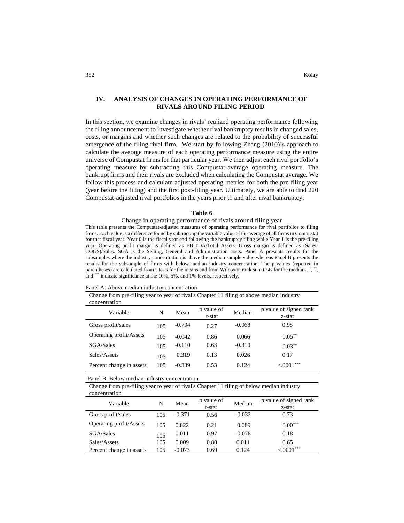## **IV. ANALYSIS OF CHANGES IN OPERATING PERFORMANCE OF RIVALS AROUND FILING PERIOD**

In this section, we examine changes in rivals' realized operating performance following the filing announcement to investigate whether rival bankruptcy results in changed sales, costs, or margins and whether such changes are related to the probability of successful emergence of the filing rival firm. We start by following Zhang (2010)'s approach to calculate the average measure of each operating performance measure using the entire universe of Compustat firms for that particular year. We then adjust each rival portfolio's operating measure by subtracting this Compustat-average operating measure. The bankrupt firms and their rivals are excluded when calculating the Compustat average. We follow this process and calculate adjusted operating metrics for both the pre-filing year (year before the filing) and the first post-filing year. Ultimately, we are able to find 220 Compustat-adjusted rival portfolios in the years prior to and after rival bankruptcy.

#### **Table 6**

## Change in operating performance of rivals around filing year

This table presents the Compustat-adjusted measures of operating performance for rival portfolios to filing firms. Each value is a difference found by subtracting the variable value of the average of all firms in Compustat for that fiscal year. Year 0 is the fiscal year end following the bankruptcy filing while Year 1 is the pre-filing year. Operating profit margin is defined as EBITDA/Total Assets. Gross margin is defined as (Sales-COGS)/Sales. SGA is the Selling, General and Administration costs. Panel A presents results for the subsamples where the industry concentration is above the median sample value whereas Panel B presents the results for the subsample of firms with below median industry concentration. The p-values (reported in parentheses) are calculated from t-tests for the means and from Wilcoxon rank sum tests for the medians. \*, \*\*, and \*\*\* indicate significance at the 10%, 5%, and 1% levels, respectively.

Panel A: Above median industry concentration

Change from pre-filing year to year of rival's Chapter 11 filing of above median industry concentration

| Variable                 | N   | Mean     | p value of<br>t-stat | Median   | p value of signed rank<br>z-stat |
|--------------------------|-----|----------|----------------------|----------|----------------------------------|
| Gross profit/sales       | 105 | $-0.794$ | 0.27                 | $-0.068$ | 0.98                             |
| Operating profit/Assets  | 105 | $-0.042$ | 0.86                 | 0.066    | $0.05***$                        |
| SGA/Sales                | 105 | $-0.110$ | 0.63                 | $-0.310$ | $0.03***$                        |
| Sales/Assets             | 105 | 0.319    | 0.13                 | 0.026    | 0.17                             |
| Percent change in assets | 105 | $-0.339$ | 0.53                 | 0.124    | $< 0001***$                      |

Panel B: Below median industry concentration

Change from pre-filing year to year of rival's Chapter  $11$  filing of below median industry concentration

| Variable                 | N   | Mean     | p value of<br>t-stat | Median   | p value of signed rank<br>z-stat |
|--------------------------|-----|----------|----------------------|----------|----------------------------------|
| Gross profit/sales       | 105 | $-0.371$ | 0.56                 | $-0.032$ | 0.73                             |
| Operating profit/Assets  | 105 | 0.822    | 0.21                 | 0.089    | $0.00***$                        |
| SGA/Sales                | 105 | 0.011    | 0.97                 | $-0.078$ | 0.18                             |
| Sales/Assets             | 105 | 0.009    | 0.80                 | 0.011    | 0.65                             |
| Percent change in assets | 105 | $-0.073$ | 0.69                 | 0.124    | $< 0001***$                      |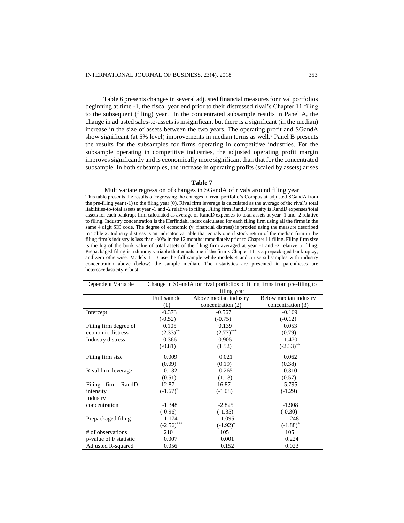Table 6 presents changes in several adjusted financial measures for rival portfolios beginning at time -1, the fiscal year end prior to their distressed rival's Chapter 11 filing to the subsequent (filing) year. In the concentrated subsample results in Panel A, the change in adjusted sales-to-assets is insignificant but there is a significant (in the median) increase in the size of assets between the two years. The operating profit and SGandA show significant (at 5% level) improvements in median terms as well.<sup>8</sup> Panel B presents the results for the subsamples for firms operating in competitive industries. For the subsample operating in competitive industries, the adjusted operating profit margin improves significantly and is economically more significant than that for the concentrated subsample. In both subsamples, the increase in operating profits (scaled by assets) arises

## **Table 7**

#### Multivariate regression of changes in SGandA of rivals around filing year

This table presents the results of regressing the changes in rival portfolio's Compustat-adjusted SGandA from the pre-filing year (-1) to the filing year (0). Rival firm leverage is calculated as the average of the rival's total liabilities-to-total assets at year -1 and -2 relative to filing. Filing firm RandD intensity is RandD expenses/total assets for each bankrupt firm calculated as average of RandD expenses-to-total assets at year -1 and -2 relative to filing. Industry concentration is the Herfindahl index calculated for each filing firm using all the firms in the same 4 digit SIC code. The degree of economic (v. financial distress) is proxied using the measure described in Table 2. Industry distress is an indicator variable that equals one if stock return of the median firm in the filing firm's industry is less than -30% in the 12 months immediately prior to Chapter 11 filing. Filing firm size is the log of the book value of total assets of the filing firm averaged at year -1 and -2 relative to filing. Prepackaged filing is a dummy variable that equals one if the firm's Chapter 11 is a prepackaged bankruptcy, and zero otherwise. Models 1—3 use the full sample while models 4 and 5 use subsamples with industry concentration above (below) the sample median. The t-statistics are presented in parentheses are heteroscedasticity-robust.

| Dependent Variable     | Change in SGandA for rival portfolios of filing firms from pre-filing to |                       |                       |  |  |  |  |  |
|------------------------|--------------------------------------------------------------------------|-----------------------|-----------------------|--|--|--|--|--|
|                        | filing year                                                              |                       |                       |  |  |  |  |  |
|                        | Full sample                                                              | Above median industry | Below median industry |  |  |  |  |  |
|                        | (1)                                                                      | concentration (2)     | concentration (3)     |  |  |  |  |  |
| Intercept              | $-0.373$                                                                 | $-0.567$              | $-0.169$              |  |  |  |  |  |
|                        | $(-0.52)$                                                                | $(-0.75)$             | $(-0.12)$             |  |  |  |  |  |
| Filing firm degree of  | 0.105                                                                    | 0.139                 | 0.053                 |  |  |  |  |  |
| economic distress      | $(2.33)$ **                                                              | $(2.77)$ ***          | (0.79)                |  |  |  |  |  |
| Industry distress      | $-0.366$                                                                 | 0.905                 | $-1.470$              |  |  |  |  |  |
|                        | $(-0.81)$                                                                | (1.52)                | $(-2.33)$ **          |  |  |  |  |  |
| Filing firm size       | 0.009                                                                    | 0.021                 | 0.062                 |  |  |  |  |  |
|                        | (0.09)                                                                   | (0.19)                | (0.38)                |  |  |  |  |  |
| Rival firm leverage    | 0.132                                                                    | 0.265                 | 0.310                 |  |  |  |  |  |
|                        | (0.51)                                                                   | (1.13)                | (0.57)                |  |  |  |  |  |
| Filing firm RandD      | $-12.87$                                                                 | $-16.87$              | $-5.795$              |  |  |  |  |  |
| intensity              | $(-1.67)^*$                                                              | $(-1.08)$             | $(-1.29)$             |  |  |  |  |  |
| Industry               |                                                                          |                       |                       |  |  |  |  |  |
| concentration          | $-1.348$                                                                 | $-2.825$              | $-1.908$              |  |  |  |  |  |
|                        | $(-0.96)$                                                                | $(-1.35)$             | $(-0.30)$             |  |  |  |  |  |
| Prepackaged filing     | $-1.174$                                                                 | $-1.095$              | $-1.248$              |  |  |  |  |  |
|                        | $(-2.56)$ ***                                                            | $(-1.92)^{*}$         | $(-1.88)^*$           |  |  |  |  |  |
| # of observations      | 210                                                                      | 105                   | 105                   |  |  |  |  |  |
| p-value of F statistic | 0.007                                                                    | 0.001                 | 0.224                 |  |  |  |  |  |
| Adjusted R-squared     | 0.056                                                                    | 0.152                 | 0.023                 |  |  |  |  |  |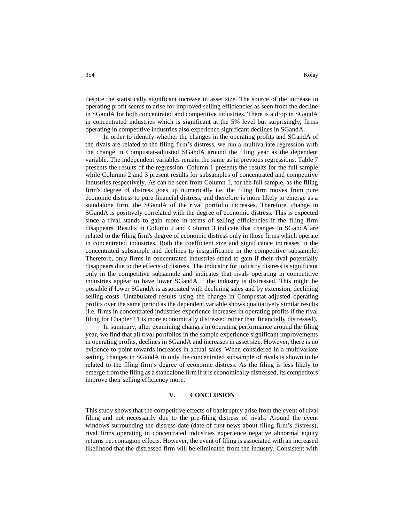despite the statistically significant increase in asset size. The source of the increase in operating profit seems to arise for improved selling efficiencies as seen from the decline in SGandA for both concentrated and competitive industries. There is a drop in SGandA in concentrated industries which is significant at the 5% level but surprisingly, firms operating in competitive industries also experience significant declines in SGandA.

In order to identify whether the changes in the operating profits and SGandA of the rivals are related to the filing firm's distress, we run a multivariate regression with the change in Compustat-adjusted SGandA around the filing year as the dependent variable. The independent variables remain the same as in previous regressions. Table 7 presents the results of the regression. Column 1 presents the results for the full sample while Columns 2 and 3 present results for subsamples of concentrated and competitive industries respectively. As can be seen from Column 1, for the full sample, as the filing firm's degree of distress goes up numerically i.e. the filing firm moves from pure economic distress to pure financial distress, and therefore is more likely to emerge as a standalone firm, the SGandA of the rival portfolio increases. Therefore, change in SGandA is positively correlated with the degree of economic distress. This is expected since a rival stands to gain more in terms of selling efficiencies if the filing firm disappears. Results in Column 2 and Column 3 indicate that changes in SGandA are related to the filing firm's degree of economic distress only in those firms which operate in concentrated industries. Both the coefficient size and significance increases in the concentrated subsample and declines to insignificance in the competitive subsample. Therefore, only firms in concentrated industries stand to gain if their rival potentially disappears due to the effects of distress. The indicator for industry distress is significant only in the competitive subsample and indicates that rivals operating in competitive industries appear to have lower SGandA if the industry is distressed. This might be possible if lower SGandA is associated with declining sales and by extension, declining selling costs. Untabulated results using the change in Compustat-adjusted operating profits over the same period as the dependent variable shows qualitatively similar results (i.e. firms in concentrated industries experience increases in operating profits if the rival filing for Chapter 11 is more economically distressed rather than financially distressed).

In summary, after examining changes in operating performance around the filing year, we find that all rival portfolios in the sample experience significant improvements in operating profits, declines in SGandA and increases in asset size. However, there is no evidence to point towards increases in actual sales. When considered in a multivariate setting, changes in SGandA in only the concentrated subsample of rivals is shown to be related to the filing firm's degree of economic distress. As the filing is less likely to emerge from the filing as a standalone firm if it is economically distressed, its competitors improve their selling efficiency more.

#### **V. CONCLUSION**

This study shows that the competitive effects of bankruptcy arise from the event of rival filing and not necessarily due to the pre-filing distress of rivals. Around the event windows surrounding the distress date (date of first news about filing firm's distress), rival firms operating in concentrated industries experience negative abnormal equity returns i.e. contagion effects. However, the event of filing is associated with an increased likelihood that the distressed firm will be eliminated from the industry. Consistent with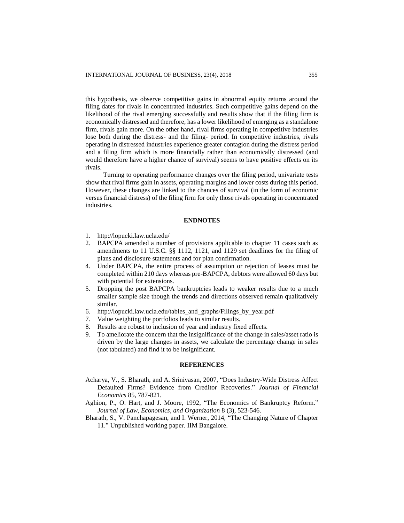this hypothesis, we observe competitive gains in abnormal equity returns around the filing dates for rivals in concentrated industries. Such competitive gains depend on the likelihood of the rival emerging successfully and results show that if the filing firm is economically distressed and therefore, has a lower likelihood of emerging as a standalone firm, rivals gain more. On the other hand, rival firms operating in competitive industries lose both during the distress- and the filing- period. In competitive industries, rivals operating in distressed industries experience greater contagion during the distress period and a filing firm which is more financially rather than economically distressed (and would therefore have a higher chance of survival) seems to have positive effects on its rivals.

Turning to operating performance changes over the filing period, univariate tests show that rival firms gain in assets, operating margins and lower costs during this period. However, these changes are linked to the chances of survival (in the form of economic versus financial distress) of the filing firm for only those rivals operating in concentrated industries.

## **ENDNOTES**

- 1. <http://lopucki.law.ucla.edu/>
- 2. BAPCPA amended a number of provisions applicable to chapter 11 cases such as amendments to 11 U.S.C. §§ 1112, 1121, and 1129 set deadlines for the filing of plans and disclosure statements and for plan confirmation.
- 4. Under BAPCPA, the entire process of assumption or rejection of leases must be completed within 210 days whereas pre-BAPCPA, debtors were allowed 60 days but with potential for extensions.
- 5. Dropping the post BAPCPA bankruptcies leads to weaker results due to a much smaller sample size though the trends and directions observed remain qualitatively similar.
- 6. [http://lopucki.law.ucla.edu/tables\\_and\\_graphs/Filings\\_by\\_year.pdf](http://lopucki.law.ucla.edu/tables_and_graphs/Filings_by_year.pdf)
- 7. Value weighting the portfolios leads to similar results.
- 8. Results are robust to inclusion of year and industry fixed effects.
- 9. To ameliorate the concern that the insignificance of the change in sales/asset ratio is driven by the large changes in assets, we calculate the percentage change in sales (not tabulated) and find it to be insignificant.

## **REFERENCES**

- Acharya, V., S. Bharath, and A. Srinivasan, 2007, "Does Industry-Wide Distress Affect Defaulted Firms? Evidence from Creditor Recoveries." *Journal of Financial Economics* 85, 787-821.
- Aghion, P., O. Hart, and J. Moore, 1992, "The Economics of Bankruptcy Reform." *Journal of Law, Economics, and Organization* 8 (3), 523-546.
- Bharath, S., V. Panchapagesan, and I. Werner, 2014, "The Changing Nature of Chapter 11." Unpublished working paper. IIM Bangalore.